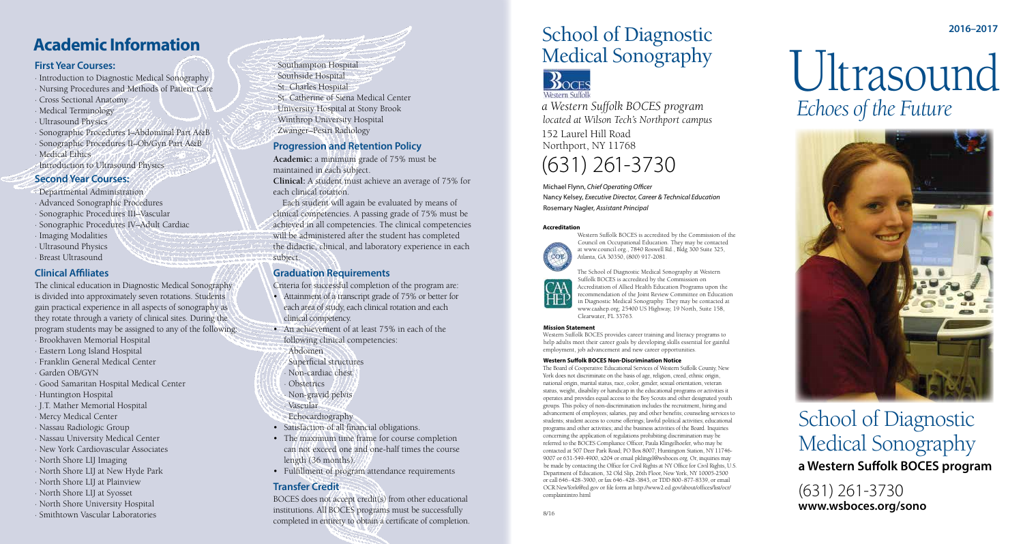# Ultrasound  *Echoes of the Future*



# **2016–2017** School of Diagnostic Medical Sonography



*a Western Suffolk BOCES program located at Wilson Tech's Northport campus* 152 Laurel Hill Road Northport, NY 11768

# (631) 261-3730

Michael Flynn, *Chief Operating Officer* Nancy Kelsey, *Executive Director, Career & Technical Education* Rosemary Nagler, *Assistant Principal*

#### **Accreditation**



Western Suffolk BOCES is accredited by the Commission of the Council on Occupational Education. They may be contacted at www.council.org., 7840 Roswell Rd., Bldg 300 Suite 325, Atlanta, GA 30350, (800) 917-2081.

The School of Diagnostic Medical Sonography at Western Suffolk BOCES is accredited by the Commission on Accreditation of Allied Health Education Programs upon the recommendation of the Joint Review Committee on Education in Diagnostic Medical Sonography. They may be contacted at www.caahep.org; 25400 US Highway, 19 North, Suite 158, Clearwater, FL 33763.

**Mission Statement** 

Western Suffolk BOCES provides career training and literacy programs to help adults meet their career goals by developing skills essential for gainful employment, job advancement and new career opportunities.

#### **Western Suffolk BOCES Non-Discrimination Notice**

- · Introduction to Diagnostic Medical Sonography
- Nursing Procedures and Methods of Patient Care
- Cross Sectional Anatomy
- Medical Terminology
- · Ultrasound Physics
- · Sonographic Procedures I–Abdominal Part A&B · Sonographic Procedures II–Ob/Gyn Part A&B · Medical Ethics
- Introduction to Ultrasound Physics

- · Departmental Administration
- · Advanced Sonographic Procedures
- · Sonographic Procedures III–Vascular
- · Sonographic Procedures IV–Adult Cardiac
- · Imaging Modalities
- · Ultrasound Physics
- Breast Ultrasound

The Board of Cooperative Educational Services of Western Suffolk County, New York does not discriminate on the basis of age, religion, creed, ethnic origin, national origin, marital status, race, color, gender, sexual orientation, veteran status, weight, disability or handicap in the educational programs or activities it operates and provides equal access to the Boy Scouts and other designated youth groups. This policy of non-discrimination includes the recruitment, hiring and advancement of employees; salaries, pay and other benefits; counseling services to students; student access to course offerings; lawful political activities; educational programs and other activities; and the business activities of the Board. Inquiries concerning the application of regulations prohibiting discrimination may be referred to the BOCES Compliance Officer, Paula Klingelhoefer, who may be contacted at 507 Deer Park Road; PO Box 8007; Huntington Station, NY 11746- 9007 or 631-549-4900, x204 or email pklingel@wsboces.org. Or, inquiries may be made by contacting the Office for Civil Rights at NY Office for Civil Rights, U.S. Department of Education, 32 Old Slip, 26th Floor, New York, NY 10005-2500 or call 646-428-3900, or fax 646-428-3843, or TDD 800-877-8339, or email OCR.NewYork@ed.gov or file form at http://www2.ed.gov/about/offices/list/ocr/ complaintintro.html



8/16

# School of Diagnostic Medical Sonography **a Western Suffolk BOCES program**

(631) 261-3730 **www.wsboces.org/sono**

#### **First Year Courses:**

#### **Second Year Courses:**

#### **Clinical Affiliates**

The clinical education in Diagnostic Medical Sonography is divided into approximately seven rotations. Students gain practical experience in all aspects of sonography as they rotate through a variety of clinical sites. During the program students may be assigned to any of the following:

- · Brookhaven Memorial Hospital
- · Eastern Long Island Hospital
- · Franklin General Medical Center
- · Garden OB/GYN
- · Good Samaritan Hospital Medical Center
- · Huntington Hospital
- · J.T. Mather Memorial Hospital
- · Mercy Medical Center
- · Nassau Radiologic Group
- · Nassau University Medical Center
- · New York Cardiovascular Associates
- · North Shore LIJ Imaging
- · North Shore LIJ at New Hyde Park
- · North Shore LIJ at Plainview
- · North Shore LIJ at Syosset
- · North Shore University Hospital
- · Smithtown Vascular Laboratories

# **Academic Information**

· Southampton Hospital · Southside Hospital · St. Charles Hospital · St. Catherine of Siena Medical Center · University Hospital at Stony Brook · Winthrop University Hospital · Zwanger–Pesiri Radiology

# **Progression and Retention Policy**

**Academic:** a minimum grade of 75% must be maintained in each subject. **Clinical:** A student must achieve an average of 75% for each clinical rotation.

 Each student will again be evaluated by means of clinical competencies. A passing grade of 75% must be achieved in all competencies. The clinical competencies will be administered after the student has completed the didactic, clinical, and laboratory experience in each subject.

#### **Graduation Requirements**

Criteria for successful completion of the program are:

- Attainment of a transcript grade of 75% or better for each area of study, each clinical rotation and each clinical competency.
- An achievement of at least 75% in each of the following clinical competencies:
- · Abdomen
- · Superficial structures
- Non-cardiac chest
- · Obstetrics
- · Non-gravid pelvis
- · Vascular
- · Echocardiography
- Satisfaction of all financial obligations.
- The maximum time frame for course completion can not exceed one and one-half times the course length (36 months).
- Fulfillment of program attendance requirements

# **Transfer Credit**

BOCES does not accept credit(s) from other educational institutions. All BOCES programs must be successfully completed in entirety to obtain a certificate of completion.